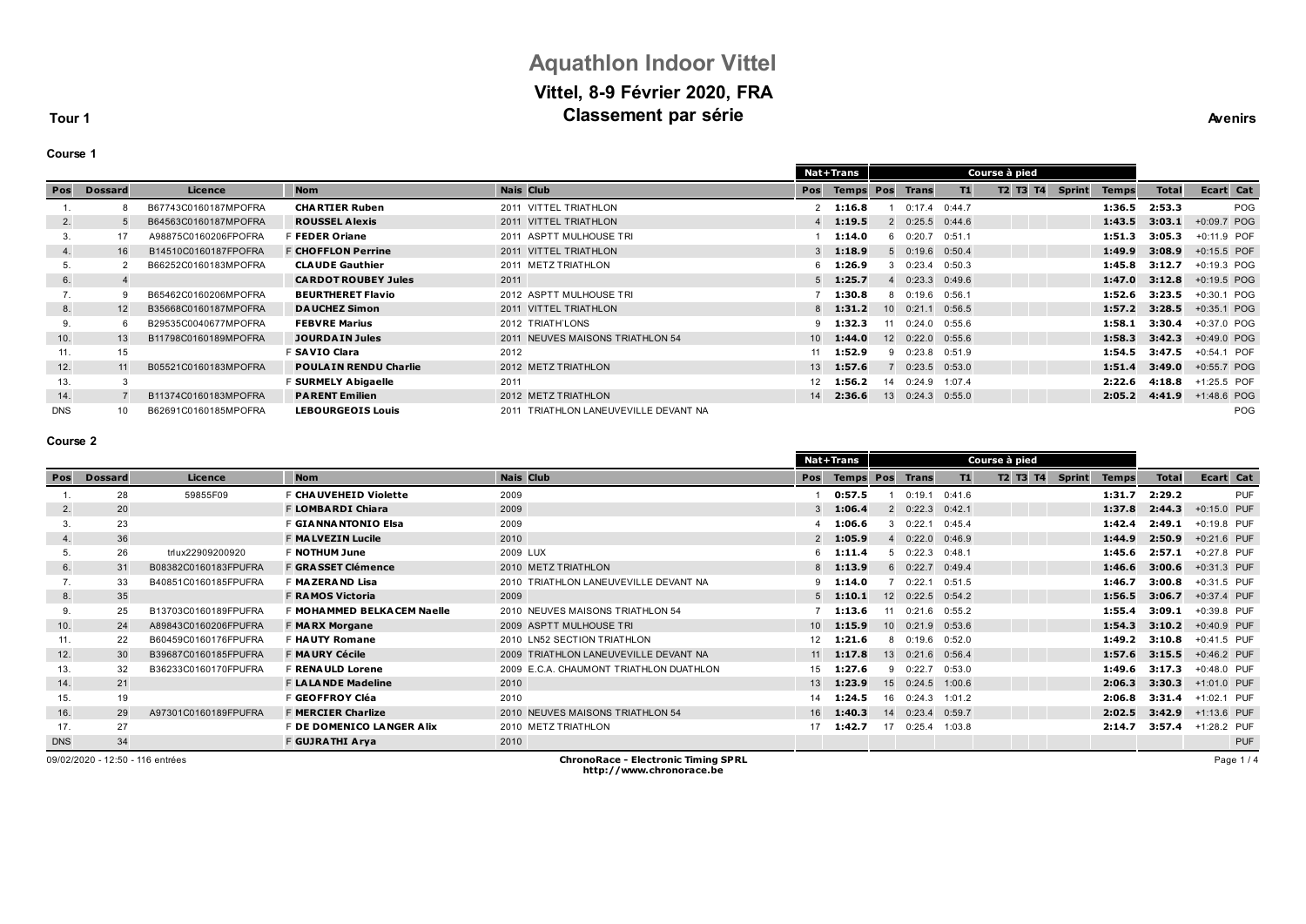# **Aquathlon Indoor Vittel Vittel, 8-9 Février 2020, FRA Classement par série Avenirs Avenirs**

**Tour 1**

#### **Course 1**

|            |                |                      |                              |                                       |                 | Nat+Trans        |    |                   | Course à pied |          |               |              |              |               |           |
|------------|----------------|----------------------|------------------------------|---------------------------------------|-----------------|------------------|----|-------------------|---------------|----------|---------------|--------------|--------------|---------------|-----------|
| Pos        | <b>Dossard</b> | Licence              | <b>Nom</b>                   | <b>Nais Club</b>                      | Pos             | <b>Temps Pos</b> |    | <b>Trans</b>      | T1            | T2 T3 T4 | <b>Sprint</b> | <b>Temps</b> | <b>Total</b> |               | Ecart Cat |
|            | 8              | B67743C0160187MPOFRA | <b>CHARTIER Ruben</b>        | 2011 VITTEL TRIATHLON                 |                 | 1:16.8           |    | 0:17.4            | 0:44.7        |          |               | 1:36.5       | 2:53.3       |               | POG       |
| 2.         | 5              | B64563C0160187MPOFRA | <b>ROUSSEL Alexis</b>        | 2011 VITTEL TRIATHLON                 |                 | 1:19.5           |    | 2 0:25.5 0:44.6   |               |          |               | 1:43.5       | 3:03.1       | +0:09.7 POG   |           |
| 3.         | 17             | A98875C0160206FPOFRA | F FEDER Oriane               | 2011 ASPTT MULHOUSE TRI               |                 | 1:14.0           |    | 60:20.7           | 0:51.1        |          |               | 1:51.3       | 3:05.3       | +0:11.9 POF   |           |
| 4.         | 16             | B14510C0160187FPOFRA | <b>F CHOFFLON Perrine</b>    | 2011 VITTEL TRIATHLON                 | $\mathcal{R}$   | 1:18.9           |    | 50:19.60:50.4     |               |          |               | 1:49.9       | 3:08.9       | +0:15.5 POF   |           |
| 5.         |                | B66252C0160183MPOFRA | <b>CLAUDE Gauthier</b>       | 2011 METZ TRIATHLON                   |                 | 1:26.9           |    | $0:23.4$ $0:50.3$ |               |          |               | 1:45.8       | 3:12.7       | +0:19.3 POG   |           |
| 6.         | 4              |                      | <b>CARDOT ROUBEY Jules</b>   | 2011                                  | 5               | 1:25.7           |    | $0:23.3$ $0:49.6$ |               |          |               | 1:47.0       | 3:12.8       | +0:19.5 POG   |           |
| 7.         | g              | B65462C0160206MPOFRA | <b>BEURTHERET Flavio</b>     | 2012 ASPTT MULHOUSE TRI               |                 | 1:30.8           | 8. | 0:19.6            | 0:56.1        |          |               | 1:52.6       | 3:23.5       | +0:30.1 POG   |           |
| 8.         | 12             | B35668C0160187MPOFRA | <b>DAUCHEZ Simon</b>         | 2011 VITTEL TRIATHLON                 |                 | 1:31.2           |    | 10 0:21.1 0:56.5  |               |          |               | 1:57.2       | 3:28.5       | $+0:35.1$ POG |           |
| 9.         | 6              | B29535C0040677MPOFRA | <b>FEBVRE Marius</b>         | 2012 TRIATH'LONS                      |                 | 1:32.3           |    | 11 0:24.0 0:55.6  |               |          |               | 1:58.1       | 3:30.4       | +0:37.0 POG   |           |
| 10.        | 13             | B11798C0160189MPOFRA | <b>JOURDAIN Jules</b>        | 2011 NEUVES MAISONS TRIATHLON 54      | 10 <sup>1</sup> | 1:44.0           |    | 12 0:22.0 0:55.6  |               |          |               | 1:58.3       | 3:42.3       | +0:49.0 POG   |           |
| 11.        | 15             |                      | F SAVIO Clara                | 2012                                  | 11              | 1:52.9           | 9. | $0:23.8$ $0:51.9$ |               |          |               | 1:54.5       | 3:47.5       | +0:54.1 POF   |           |
| 12.        | 11             | B05521C0160183MPOFRA | <b>POULAIN RENDU Charlie</b> | 2012 METZ TRIATHLON                   | 13              | 1:57.6           |    | $0:23.5$ $0:53.0$ |               |          |               | 1:51.4       | 3:49.0       | +0:55.7 POG   |           |
| 13.        | 3              |                      | F SURMELY Abigaelle          | 2011                                  | 12              | 1:56.2           | 14 | 0:24.9            | 1:07.4        |          |               | 2:22.6       | 4:18.8       | +1:25.5 POF   |           |
| 14.        |                | B11374C0160183MPOFRA | <b>PARENT Emilien</b>        | 2012 METZ TRIATHLON                   | 14              | 2:36.6           | 13 | $0:24.3$ $0:55.0$ |               |          |               | 2:05.2       | 4:41.9       | +1:48.6 POG   |           |
| <b>DNS</b> | 10             | B62691C0160185MPOFRA | <b>LEBOURGEOIS Louis</b>     | 2011 TRIATHLON LANEUVEVILLE DEVANT NA |                 |                  |    |                   |               |          |               |              |              |               | POG       |

#### **Course 2**

|               |                |                      |                             |                                         |                 | <b>Nat+Trans</b>       |    |                   |        | Course à pied |               |              |              |               |           |
|---------------|----------------|----------------------|-----------------------------|-----------------------------------------|-----------------|------------------------|----|-------------------|--------|---------------|---------------|--------------|--------------|---------------|-----------|
| Pos           | <b>Dossard</b> | Licence              | <b>Nom</b>                  | <b>Nais Club</b>                        | Pos             | <b>Temps Pos Trans</b> |    |                   | T1     | T2 T3 T4      | <b>Sprint</b> | <b>Temps</b> | <b>Total</b> |               | Ecart Cat |
|               | 28             | 59855F09             | F CHAUVEHEID Violette       | 2009                                    |                 | 0:57.5                 |    | 0:19.1            | 0:41.6 |               |               | 1:31.7       | 2:29.2       |               | PUF       |
| 2.            | 20             |                      | F LOMBARDI Chiara           | 2009                                    |                 | 3 1:06.4               |    | $2 \t 0:22.3$     | 0:42.1 |               |               | 1:37.8       | 2:44.3       | +0:15.0 PUF   |           |
| 3.            | 23             |                      | <b>F GIANNANTONIO Elsa</b>  | 2009                                    |                 | 1:06.6                 | 3  | 0:22.1            | 0:45.4 |               |               | 1:42.4       | 2:49.1       | +0:19.8 PUF   |           |
| 4.            | 36             |                      | <b>F MALVEZIN Lucile</b>    | 2010                                    |                 | $2$ 1:05.9             |    | 0:22.0            | 0:46.9 |               |               | 1:44.9       | 2:50.9       | $+0:21.6$ PUF |           |
| 5.            | 26             | trlux22909200920     | <b>F NOTHUM June</b>        | 2009 LUX                                | 6.              | 1:11.4                 | 5. | 0:22.3            | 0:48.1 |               |               | 1:45.6       | 2:57.1       | +0:27.8 PUF   |           |
| 6.            | 31             | B08382C0160183FPUFRA | <b>F GRASSET Clémence</b>   | 2010 METZ TRIATHLON                     |                 | $8$ 1:13.9             |    | 60:22.7           | 0:49.4 |               |               | 1:46.6       | 3:00.6       | +0:31.3 PUF   |           |
| $\mathcal{L}$ | 33             | B40851C0160185FPUFRA | F MAZERAND Lisa             | 2010 TRIATHLON LANEUVEVILLE DEVANT NA   |                 | $9$ 1:14.0             |    | 0:22.1            | 0:51.5 |               |               | 1:46.7       | 3:00.8       | +0:31.5 PUF   |           |
| 8.            | 35             |                      | <b>F RAMOS Victoria</b>     | 2009                                    |                 | $5$ 1:10.1             |    | 12 0:22.5 0:54.2  |        |               |               | 1:56.5       | 3:06.7       | +0:37.4 PUF   |           |
| 9.            | 25             | B13703C0160189FPUFRA | F MOHA MMED BELKACEM Naelle | 2010 NEUVES MAISONS TRIATHLON 54        |                 | 1:13.6                 | 11 | $0:21.6$ $0:55.2$ |        |               |               | 1:55.4       | 3:09.1       | +0:39.8 PUF   |           |
| 10.           | 24             | A89843C0160206FPUFRA | <b>F MARX Morgane</b>       | 2009 ASPTT MULHOUSE TRI                 | 10 <sup>1</sup> | 1:15.9                 |    | $10 \quad 0:21.9$ | 0:53.6 |               |               | 1:54.3       | 3:10.2       | +0:40.9 PUF   |           |
| 11.           | 22             | B60459C0160176FPUFRA | <b>F HAUTY Romane</b>       | 2010 LN52 SECTION TRIATHLON             | 12              | 1:21.6                 |    | 8 0:19.6 0:52.0   |        |               |               | 1:49.2       | 3:10.8       | +0:41.5 PUF   |           |
| 12.           | 30             | B39687C0160185FPUFRA | <b>F MAURY Cécile</b>       | 2009 TRIATHLON LANEUVEVILLE DEVANT NA   | 11              | 1:17.8                 |    | 13 0:21.6 0:56.4  |        |               |               | 1:57.6       | 3:15.5       | $+0:46.2$ PUF |           |
| 13.           | 32             | B36233C0160170FPUFRA | <b>F RENAULD Lorene</b>     | 2009 E.C.A. CHAUMONT TRIATHLON DUATHLON | 15              | 1:27.6                 |    | 90:22.7           | 0:53.0 |               |               | 1:49.6       | 3:17.3       | +0:48.0 PUF   |           |
| 14.           | 21             |                      | <b>F LALANDE Madeline</b>   | 2010                                    | 13              | 1:23.9                 | 15 | 0:24.5            | 1:00.6 |               |               | 2:06.3       | 3:30.3       | +1:01.0 PUF   |           |
| 15.           | 19             |                      | F GEOFFROY Cléa             | 2010                                    | 14              | 1:24.5                 | 16 | 0:24.3            | 1:01.2 |               |               | 2:06.8       | 3:31.4       | +1:02.1 PUF   |           |
| 16.           | 29             | A97301C0160189FPUFRA | <b>F MERCIER Charlize</b>   | 2010 NEUVES MAISONS TRIATHLON 54        | 16              | 1:40.3                 |    | 14 0:23.4         | 0:59.7 |               |               | 2:02.5       | 3:42.9       | +1:13.6 PUF   |           |
| 17.           | 27             |                      | F DE DOMENICO LANGER Alix   | 2010 METZ TRIATHLON                     |                 | 1:42.7                 | 17 | 0:25.4            | 1:03.8 |               |               | 2:14.7       | 3:57.4       | +1:28.2 PUF   |           |
| <b>DNS</b>    | 34             |                      | F GUJRATHI Arya             | 2010                                    |                 |                        |    |                   |        |               |               |              |              |               | PUF       |

Page 1 / 4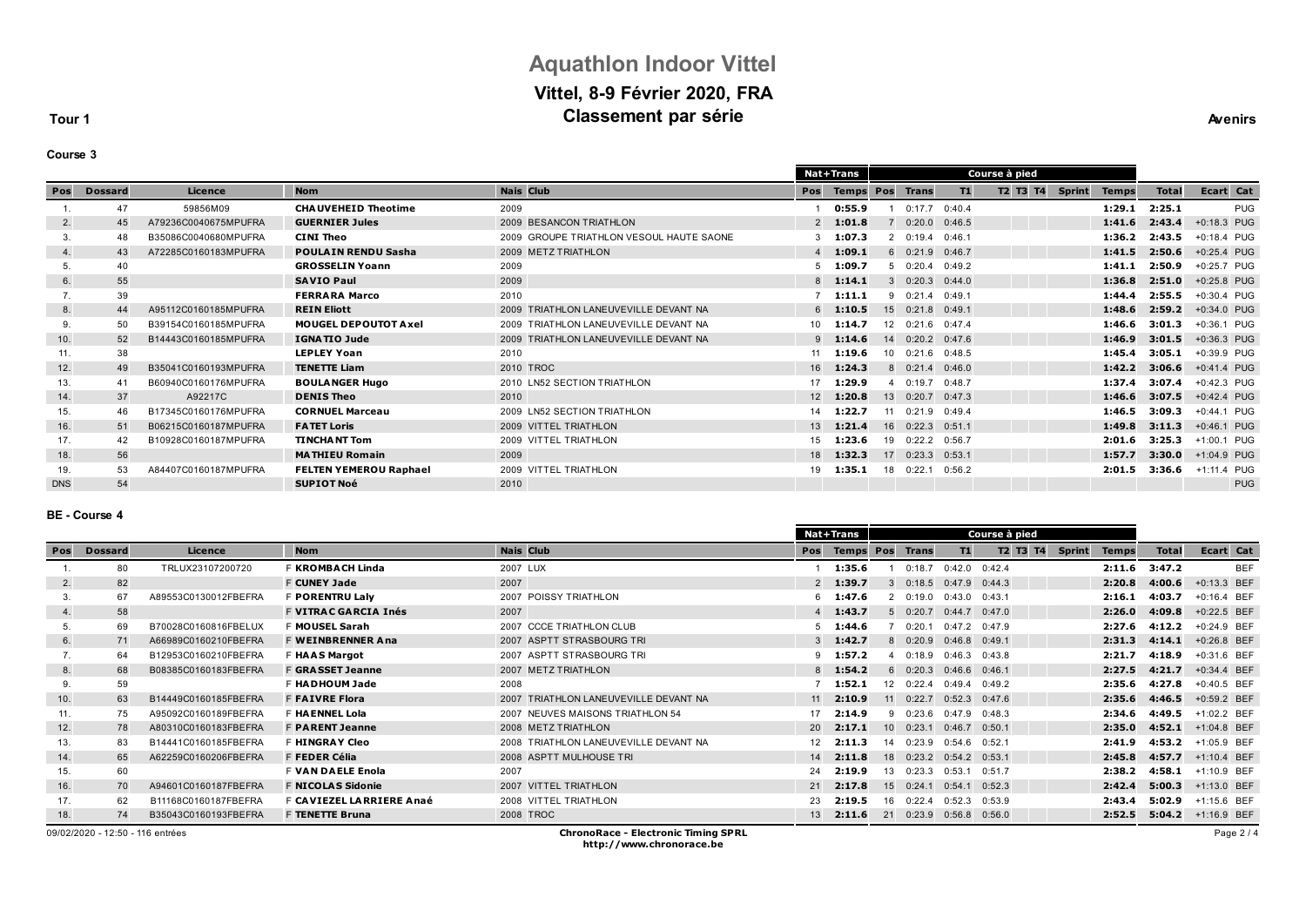# **Aquathlon Indoor Vittel Vittel, 8-9 Février 2020, FRA Classement par série Avenirs Avenirs**

**Tour 1**

| ours<br>l |  |
|-----------|--|
|-----------|--|

| Pos<br><b>Nom</b><br><b>Nais Club</b><br>T1<br>T2 T3 T4<br><b>Sprint</b><br>Licence<br>Pos<br><b>Temps</b><br>Pos<br><b>Total</b><br><b>Dossard</b><br><b>Trans</b><br><b>Temps</b><br>47<br>2009<br>0:55.9<br>1:29.1<br>2:25.1<br>59856M09<br><b>CHAUVEHEID Theotime</b><br>0:17.7<br>0:40.4<br><b>GUERNIER Jules</b><br>2009 BESANCON TRIATHLON<br>$2$ 1:01.8<br>1:41.6<br>2:43.4<br>A79236C0040675MPUFRA<br>$0:20.0$ $0:46.5$<br>2.<br>$\overline{7}$<br>45 | Ecart Cat<br>PUG<br>+0:18.3 PUG<br>+0:18.4 PUG<br>+0:25.4 PUG<br>+0:25.7 PUG |
|----------------------------------------------------------------------------------------------------------------------------------------------------------------------------------------------------------------------------------------------------------------------------------------------------------------------------------------------------------------------------------------------------------------------------------------------------------------|------------------------------------------------------------------------------|
|                                                                                                                                                                                                                                                                                                                                                                                                                                                                |                                                                              |
|                                                                                                                                                                                                                                                                                                                                                                                                                                                                |                                                                              |
|                                                                                                                                                                                                                                                                                                                                                                                                                                                                |                                                                              |
| <b>CINI Theo</b><br>1:36.2<br>2:43.5<br>B35086C0040680MPUFRA<br>2009 GROUPE TRIATHLON VESOUL HAUTE SAONE<br>1:07.3<br>20:19.4<br>0:46.1<br>3.<br>48                                                                                                                                                                                                                                                                                                            |                                                                              |
| <b>POULAIN RENDU Sasha</b><br>2009 METZ TRIATHLON<br>60:21.9<br>1:41.5<br>2:50.6<br>A72285C0160183MPUFRA<br>1:09.1<br>0:46.7<br>4.<br>43                                                                                                                                                                                                                                                                                                                       |                                                                              |
| <b>GROSSELIN Yoann</b><br>2:50.9<br>2009<br>1:09.7<br>50:20.40:39.2<br>1:41.1<br>40<br>5.                                                                                                                                                                                                                                                                                                                                                                      |                                                                              |
| <b>SAVIO Paul</b><br>2009<br>1:36.8<br>2:51.0<br>55<br>1:14.1<br>30:20.3<br>6.<br>0:44.0<br>$\mathbf{R}$                                                                                                                                                                                                                                                                                                                                                       | +0:25.8 PUG                                                                  |
| 39<br>2010<br><b>FERRARA Marco</b><br>2:55.5<br>90:21.4<br>0:49.1<br>1:44.4<br>1:11.1                                                                                                                                                                                                                                                                                                                                                                          | +0:30.4 PUG                                                                  |
| <b>REIN Eliott</b><br>15 0:21.8 0:49.1<br>1:48.6<br>2:59.2<br>A95112C0160185MPUFRA<br>2009 TRIATHLON LANEUVEVILLE DEVANT NA<br>1:10.5<br>8.<br>44<br>$6^{\circ}$                                                                                                                                                                                                                                                                                               | +0:34.0 PUG                                                                  |
| <b>MOUGEL DEPOUTOT Axel</b><br>3:01.3<br>B39154C0160185MPUFRA<br>2009 TRIATHLON LANEUVEVILLE DEVANT NA<br>1:14.7<br>12 0:21.6<br>1:46.6<br>50<br>10 <sup>1</sup><br>0:47.4<br>9.                                                                                                                                                                                                                                                                               | +0:36.1 PUG                                                                  |
| 1:46.9<br>3:01.5<br><b>IGNATIO Jude</b><br>2009 TRIATHLON LANEUVEVILLE DEVANT NA<br>14 0:20.2 0:47.6<br>52<br>B14443C0160185MPUFRA<br>1:14.6<br>10.                                                                                                                                                                                                                                                                                                            | +0:36.3 PUG                                                                  |
| 38<br><b>LEPLEY Yoan</b><br>10 0:21.6 0:48.5<br>1:45.4<br>3:05.1<br>2010<br>1:19.6<br>11.<br>11                                                                                                                                                                                                                                                                                                                                                                | +0:39.9 PUG                                                                  |
| 2010 TROC<br>1:24.3<br>8 0:21.4<br>1:42.2<br>3:06.6<br>B35041C0160193MPUFRA<br><b>TENETTE Liam</b><br>16<br>12.<br>0:46.0<br>49                                                                                                                                                                                                                                                                                                                                | +0:41.4 PUG                                                                  |
| 3:07.4<br><b>BOULANGER Hugo</b><br>2010 LN52 SECTION TRIATHLON<br>1:29.9<br>1:37.4<br>41<br>B60940C0160176MPUFRA<br>0:19.7<br>0:48.7<br>13.                                                                                                                                                                                                                                                                                                                    | +0:42.3 PUG                                                                  |
| 3:07.5<br>A92217C<br><b>DENIS Theo</b><br>1:20.8<br>13 0:20.7<br>1:46.6<br>37<br>2010<br>0:47.3<br>14.<br>12                                                                                                                                                                                                                                                                                                                                                   | +0:42.4 PUG                                                                  |
| 3:09.3<br>B17345C0160176MPUFRA<br><b>CORNUEL Marceau</b><br>2009 LN52 SECTION TRIATHLON<br>1:22.7<br>0:21.9<br>1:46.5<br>14<br>0:49.4<br>15.<br>11<br>46                                                                                                                                                                                                                                                                                                       | +0:44.1 PUG                                                                  |
| 3:11.3<br>B06215C0160187MPUFRA<br>2009 VITTEL TRIATHLON<br>1:21.4<br>16 0:22.3 0:51.1<br>1:49.8<br><b>FATET Loris</b><br>51<br>13<br>16.                                                                                                                                                                                                                                                                                                                       | +0:46.1 PUG                                                                  |
| 1:23.6<br>19 0:22.2 0:56.7<br>3:25.3<br>17.<br>B10928C0160187MPUFRA<br><b>TINCHANT Tom</b><br>2009 VITTEL TRIATHLON<br>2:01.6<br>42<br>15                                                                                                                                                                                                                                                                                                                      | +1:00.1 PUG                                                                  |
| 56<br><b>MATHIEU Romain</b><br>2009<br>1:32.3<br>0:23.3<br>1:57.7<br>3:30.0<br>17<br>18.<br>18<br>0:53.1                                                                                                                                                                                                                                                                                                                                                       | +1:04.9 PUG                                                                  |
| 53<br><b>FELTEN YEMEROU Raphael</b><br>2009 VITTEL TRIATHLON<br>2:01.5<br>3:36.6<br>A84407C0160187MPUFRA<br>1:35.1<br>19<br>18 0:22.1<br>0:56.2<br>19.                                                                                                                                                                                                                                                                                                         | +1:11.4 PUG                                                                  |
| 54<br><b>SUPIOT Noé</b><br>2010<br><b>DNS</b>                                                                                                                                                                                                                                                                                                                                                                                                                  | <b>PUG</b>                                                                   |

#### **BE - Course 4**

|     |                                  |                      |                                 |                                            |              | <b>Nat+Trans</b> |    |                   |                         | Course à pied |               |              |              |               |
|-----|----------------------------------|----------------------|---------------------------------|--------------------------------------------|--------------|------------------|----|-------------------|-------------------------|---------------|---------------|--------------|--------------|---------------|
| Pos | <b>Dossard</b>                   | Licence              | <b>Nom</b>                      | <b>Nais Club</b>                           | Pos          | <b>Temps Pos</b> |    | Trans             | T1                      | T2 T3 T4      | <b>Sprint</b> | <b>Temps</b> | <b>Total</b> | Ecart Cat     |
|     | 80                               | TRLUX23107200720     | F KROMBACH Linda                | 2007 LUX                                   |              | 1:35.6           |    | 0:18.7            | $0:42.0$ $0:42.4$       |               |               | 2:11.6       | 3:47.2       | <b>BEF</b>    |
| 2.  | 82                               |                      | <b>F CUNEY Jade</b>             | 2007                                       |              | $2$ 1:39.7       |    | 30:18.5           | 0:47.9                  | 0:44.3        |               | 2:20.8       | 4:00.6       | +0:13.3 BEF   |
| 3.  | 67                               | A89553C0130012FBEFRA | F PORENTRU Laly                 | 2007 POISSY TRIATHLON                      |              | 1:47.6           |    | 20:19.0           | 0:43.0                  | 0:43.1        |               | 2:16.1       | 4:03.7       | +0:16.4 BEF   |
| 4.  | 58                               |                      | <b>F VITRAC GARCIA Inés</b>     | 2007                                       |              | 1:43.7           |    | 50:20.7           | $0:44.7$ $0:47.0$       |               |               | 2:26.0       | 4:09.8       | +0:22.5 BEF   |
| 5.  | 69                               | B70028C0160816FBELUX | F MOUSEL Sarah                  | 2007 CCCE TRIATHLON CLUB                   |              | 1:44.6           |    | 0:20.1            | 0:47.2 0:47.9           |               |               | 2:27.6       | 4:12.2       | +0:24.9 BEF   |
| 6.  | 71                               | A66989C0160210FBEFRA | <b>F WEINBRENNER Ana</b>        | 2007 ASPTT STRASBOURG TRI                  | $\mathbf{3}$ | 1:42.7           |    | 80:20.9           | $0:46.8$ $0:49.1$       |               |               | 2:31.3       | 4:14.1       | $+0:26.8$ BEF |
| 7.  | 64                               | B12953C0160210FBEFRA | <b>F HAAS Margot</b>            | 2007 ASPTT STRASBOURG TRI                  | 9            | 1:57.2           |    | 40:18.9           | 0:46.3                  | 0:43.8        |               | 2:21.7       | 4:18.9       | +0:31.6 BEF   |
| 8.  | 68                               | B08385C0160183FBEFRA | <b>F GRASSET Jeanne</b>         | 2007 METZ TRIATHLON                        |              | 1:54.2           |    | $6 \quad 0:20.3$  | $0:46.6$ $0:46.1$       |               |               | 2:27.5       | 4:21.7       | $+0:34.4$ BEF |
| 9.  | 59                               |                      | F HADHOUM Jade                  | 2008                                       |              | 1:52.1           |    | 12 0:22.4         | $0:49.4$ $0:49.2$       |               |               | 2:35.6       | 4:27.8       | +0:40.5 BEF   |
| 10. | 63                               | B14449C0160185FBEFRA | <b>F FAIVRE Flora</b>           | 2007 TRIATHLON LANEUVEVILLE DEVANT NA      | 11           | 2:10.9           |    | $11 \quad 0:22.7$ | 0:52.3                  | 0:47.6        |               | 2:35.6       | 4:46.5       | $+0:59.2$ BEF |
| 11. | 75                               | A95092C0160189FBEFRA | <b>F HAENNEL Lola</b>           | 2007 NEUVES MAISONS TRIATHLON 54           | 17           | 2:14.9           |    | 90:23.6           | 0:47.9                  | 0:48.3        |               | 2:34.6       | 4:49.5       | +1:02.2 BEF   |
| 12. | 78                               | A80310C0160183FBEFRA | <b>F PARENT Jeanne</b>          | 2008 METZ TRIATHLON                        | 20           | 2:17.1           |    | $10 \quad 0:23.1$ | 0:46.7                  | 0:50.1        |               | 2:35.0       | 4:52.1       | $+1:04.8$ BEF |
| 13. | 83                               | B14441C0160185FBEFRA | F <b>HINGRAY Cleo</b>           | 2008 TRIATHLON LANEUVEVILLE DEVANT NA      | 12           | 2:11.3           | 14 | 0:23.9            | $0:54.6$ 0:52.1         |               |               | 2:41.9       | 4:53.2       | +1:05.9 BEF   |
| 14. | 65                               | A62259C0160206FBEFRA | F FEDER Célia                   | 2008 ASPTT MULHOUSE TRI                    | 14           | 2:11.8           | 18 | 0:23.2            | $0:54.2$ $0:53.1$       |               |               | 2:45.8       | 4:57.7       | +1:10.4 BEF   |
| 15. | 60                               |                      | <b>F VAN DAELE Enola</b>        | 2007                                       | 24           | 2:19.9           | 13 | 0:23.3            | 0:53.1                  | 0:51.7        |               | 2:38.2       | 4:58.1       | +1:10.9 BEF   |
| 16. | 70                               | A94601C0160187FBEFRA | <b>F NICOLAS Sidonie</b>        | 2007 VITTEL TRIATHLON                      | 21           | 2:17.8           |    | 15 0:24.1         | 0:54.1                  | 0:52.3        |               | 2:42.4       | 5:00.3       | +1:13.0 BEF   |
| 17. | 62                               | B11168C0160187FBEFRA | F <b>CAVIEZEL LARRIERE Anaé</b> | 2008 VITTEL TRIATHLON                      | 23           | 2:19.5           | 16 | 0:22.4            | 0:52.3                  | 0:53.9        |               | 2:43.4       | 5:02.9       | +1:15.6 BEF   |
| 18. | 74                               | B35043C0160193FBEFRA | <b>F TENETTE Bruna</b>          | 2008 TROC                                  | 13           | 2:11.6           |    |                   | 21 0:23.9 0:56.8 0:56.0 |               |               | 2:52.5       | 5:04.2       | +1:16.9 BEF   |
|     | 09/02/2020 - 12:50 - 116 entrées |                      |                                 | <b>ChronoRace - Electronic Timing SPRL</b> |              |                  |    |                   |                         |               |               |              |              | Page 2/4      |

**http://www.chronorace.be**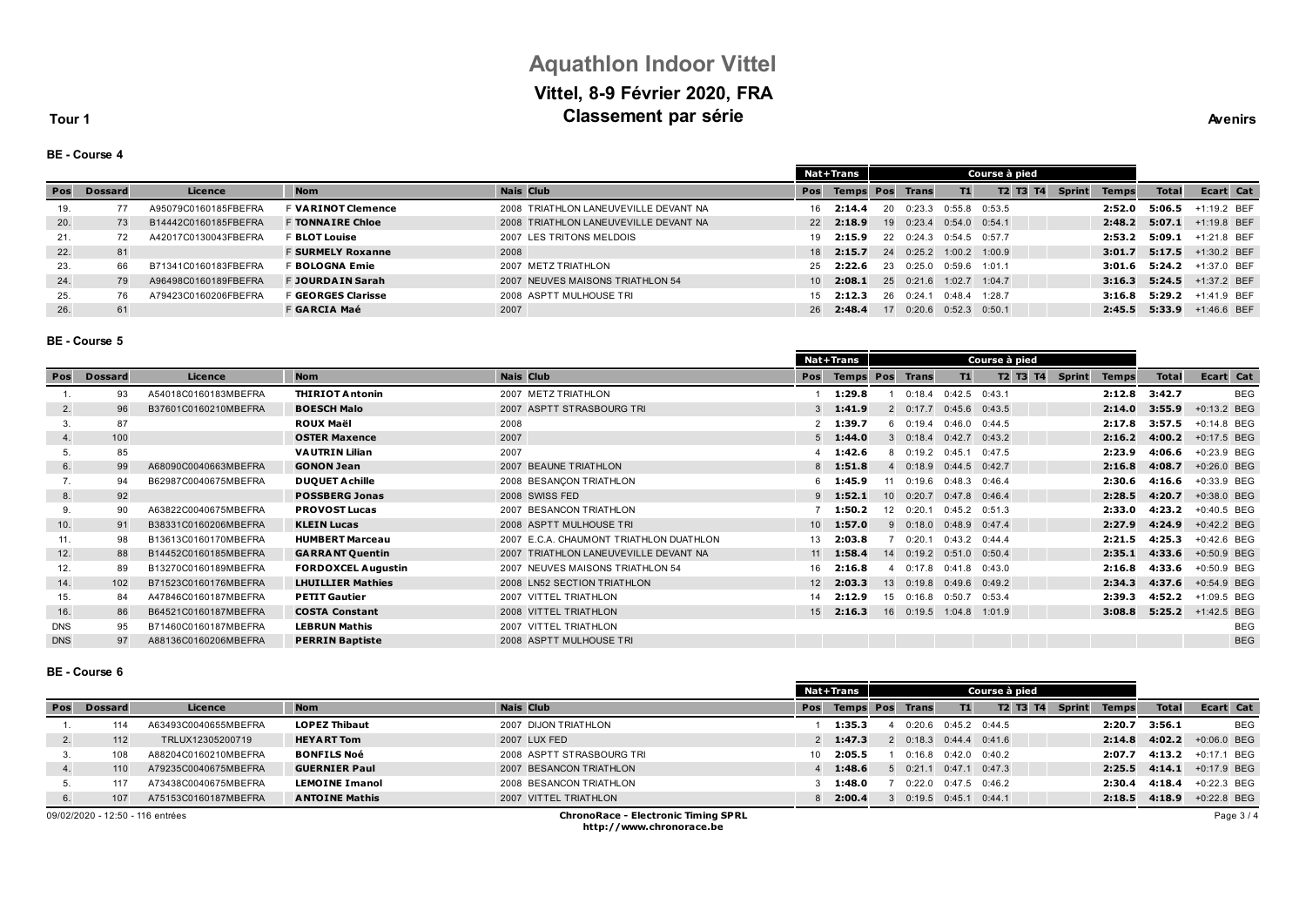# **Aquathlon Indoor Vittel Vittel, 8-9 Février 2020, FRA Classement par série Avenirs Avenirs**

**Tour 1**

| Δv. |
|-----|

**BE - Course 4**

|     |         |                      |                           |                                       |                 | <b>Nat+Trans</b>       |    |                           | Course à pied     |                 |  |               |              |              |                           |
|-----|---------|----------------------|---------------------------|---------------------------------------|-----------------|------------------------|----|---------------------------|-------------------|-----------------|--|---------------|--------------|--------------|---------------------------|
| Pos | Dossard | Licence              | <b>Nom</b>                | <b>Nais Club</b>                      | Pos             | <b>Temps Pos Trans</b> |    |                           | T1                | <b>T2 T3 T4</b> |  | <b>Sprint</b> | <b>Temps</b> | <b>Total</b> | Ecart Cat                 |
| 19. |         | A95079C0160185FBEFRA | <b>F VARINOT Clemence</b> | 2008 TRIATHLON LANEUVEVILLE DEVANT NA | 16              | 2:14.4                 | 20 | 0:23.3                    | $0:55.8$ $0:53.5$ |                 |  |               | 2:52.0       | 5:06.5       | $+1:19.2$ BEF             |
| 20. | 73      | B14442C0160185FBEFRA | <b>F TONNAIRE Chloe</b>   | 2008 TRIATHLON LANEUVEVILLE DEVANT NA | 22              | 2:18.9                 |    | 19 0:23.4 0:54.0 0:54.1   |                   |                 |  |               | 2:48.2       | 5:07.1       | +1:19.8 BEF               |
| 21. |         | A42017C0130043FBEFRA | <b>F BLOT Louise</b>      | 2007 LES TRITONS MELDOIS              | 19              | 2:15.9                 |    | $22 \t 0:24.3$            | $0:54.5$ $0:57.7$ |                 |  |               | 2:53.2       | 5:09.1       | +1:21.8 BEF               |
| 22. | 81      |                      | <b>F SURMELY Roxanne</b>  | 2008                                  | 18              | 2:15.7                 |    | 24 0:25.2                 | $1:00.2$ $1:00.9$ |                 |  |               | 3:01.7       |              | 5:17.5 $+1:30.2$ BEF      |
| 23. | 66      | B71341C0160183FBEFRA | F <b>BOLOGNA Emie</b>     | 2007 METZ TRIATHLON                   | 25              | 2:22.6                 | 23 | 0:25.0                    | 0:59.6            | 1.011           |  |               |              |              | 3:01.6 5:24.2 +1:37.0 BEF |
| 24. | 79      | A96498C0160189FBEFRA | <b>F JOURDAIN Sarah</b>   | 2007 NEUVES MAISONS TRIATHLON 54      | 10 <sup>1</sup> | 2:08.1                 |    | 25 0:21.6                 | $1:02.7$ $1:04.7$ |                 |  |               |              |              | 3:16.3 5:24.5 +1:37.2 BEF |
| 25. | 76      | A79423C0160206FBEFRA | F <b>GEORGES Clarisse</b> | 2008 ASPTT MULHOUSE TRI               | 15              | 2:12.3                 | 26 | 0:24.                     | 0:48.4            | 1:28.7          |  |               |              |              | 3:16.8 5:29.2 +1:41.9 BEF |
| 26. | 61      |                      | F GARCIA Maé              | 2007                                  | 26              | 2:48.4                 |    | $17$ 0:20.6 0:52.3 0:50.1 |                   |                 |  |               |              |              | 2:45.5 5:33.9 +1:46.6 BEF |

#### **BE - Course 5**

|            |                |                      |                           |                                         | <b>Nat+Trans</b> |                        |   |                |                   | Course à pied |                           |              |              |               |            |
|------------|----------------|----------------------|---------------------------|-----------------------------------------|------------------|------------------------|---|----------------|-------------------|---------------|---------------------------|--------------|--------------|---------------|------------|
| Pos        | <b>Dossard</b> | Licence              | <b>Nom</b>                | <b>Nais Club</b>                        | Pos              | <b>Temps Pos Trans</b> |   |                | T1                |               | T2 T3 T4<br><b>Sprint</b> | <b>Temps</b> | <b>Total</b> | Ecart Cat     |            |
|            | 93             | A54018C0160183MBEFRA | <b>THIRIOT Antonin</b>    | 2007 METZ TRIATHLON                     |                  | 1:29.8                 |   | 0:18.4         | $0:42.5$ $0:43.1$ |               |                           | 2:12.8       | 3:42.7       |               | <b>BEG</b> |
| 2.         | 96             | B37601C0160210MBEFRA | <b>BOESCH Malo</b>        | 2007 ASPTT STRASBOURG TRI               |                  | 1:41.9                 |   | 20:17.7        | $0:45.6$ $0:43.5$ |               |                           | 2:14.0       | 3:55.9       | +0:13.2 BEG   |            |
| 3.         | 87             |                      | <b>ROUX Maël</b>          | 2008                                    |                  | 1:39.7                 |   | 60:19.4        | 0.46.0            | 0:44.5        |                           | 2:17.8       | 3:57.5       | $+0:14.8$ BEG |            |
| 4.         | 100            |                      | <b>OSTER Maxence</b>      | 2007                                    | $5^{\circ}$      | 1:44.0                 |   | 30:18.4        | 0:42.7            | 0:43.2        |                           | 2:16.2       | 4:00.2       | +0:17.5 BEG   |            |
|            | 85             |                      | <b>VAUTRIN Lilian</b>     | 2007                                    |                  | 1:42.6                 | 8 | 0:19.2         | 0:45.1            | 0:47.5        |                           | 2:23.9       | 4:06.6       | +0:23.9 BEG   |            |
| 6.         | 99             | A68090C0040663MBEFRA | <b>GONON Jean</b>         | 2007 BEAUNE TRIATHLON                   | 8                | 1:51.8                 |   | 40:18.9        | 0:44.5            | 0:42.7        |                           | 2:16.8       | 4:08.7       | +0:26.0 BEG   |            |
| 7.         | 94             | B62987C0040675MBEFRA | <b>DUQUET A chille</b>    | 2008 BESANCON TRIATHLON                 | 6                | 1:45.9                 |   | 11 0:19.6      | $0:48.3$ $0:46.4$ |               |                           | 2:30.6       | 4:16.6       | +0:33.9 BEG   |            |
| 8.         | 92             |                      | <b>POSSBERG Jonas</b>     | 2008 SWISS FED                          | 9                | 1:52.1                 |   | 10 0:20.7      | $0:47.8$ 0:46.4   |               |                           | 2:28.5       | 4:20.7       | +0:38.0 BEG   |            |
| 9.         | 90             | A63822C0040675MBEFRA | <b>PROVOST Lucas</b>      | 2007 BESANCON TRIATHLON                 |                  | 1:50.2                 |   | $12 \t 0:20.1$ | $0:45.2$ $0:51.3$ |               |                           | 2:33.0       | 4:23.2       | +0:40.5 BEG   |            |
| 10.        | 91             | B38331C0160206MBEFRA | <b>KLEIN Lucas</b>        | 2008 ASPTT MULHOUSE TRI                 | 10 <sup>1</sup>  | 1:57.0                 |   | 90:18.0        | $0:48.9$ $0:47.4$ |               |                           | 2:27.9       | 4:24.9       | $+0:42.2$ BEG |            |
| 11.        | 98             | B13613C0160170MBEFRA | <b>HUMBERT Marceau</b>    | 2007 E.C.A. CHAUMONT TRIATHLON DUATHLON | 13               | 2:03.8                 |   | 0:20.1         | $0:43.2$ $0:44.4$ |               |                           | 2:21.5       | 4:25.3       | +0:42.6 BEG   |            |
| 12.        | 88             | B14452C0160185MBEFRA | <b>GARRANT Quentin</b>    | 2007 TRIATHLON LANEUVEVILLE DEVANT NA   | 11               | 1:58.4                 |   | 14 0:19.2      | 0:51.0            | 0:50.4        |                           | 2:35.1       | 4:33.6       | +0:50.9 BEG   |            |
| 12.        | 89             | B13270C0160189MBEFRA | <b>FORDOXCEL Augustin</b> | 2007 NEUVES MAISONS TRIATHLON 54        | 16               | 2:16.8                 |   | 0:17.8         | 0:41.8            | 0:43.0        |                           | 2:16.8       | 4:33.6       | +0:50.9 BEG   |            |
| 14.        | 102            | B71523C0160176MBEFRA | <b>LHUILLIER Mathies</b>  | 2008 LN52 SECTION TRIATHLON             | 12               | 2:03.3                 |   | 13 0:19.8      | $0:49.6$ $0:49.2$ |               |                           | 2:34.3       | 4:37.6       | +0:54.9 BEG   |            |
| 15.        | 84             | A47846C0160187MBEFRA | <b>PETIT Gautier</b>      | 2007 VITTEL TRIATHLON                   | 14               | 2:12.9                 |   | 15 0:16.8      | $0:50.7$ $0:53.4$ |               |                           | 2:39.3       | 4:52.2       | +1:09.5 BEG   |            |
| 16.        | 86             | B64521C0160187MBEFRA | <b>COSTA Constant</b>     | 2008 VITTEL TRIATHLON                   | 15               | 2:16.3                 |   |                | 16 0:19.5 1:04.8  | 1:01.9        |                           | 3:08.8       | 5:25.2       | +1:42.5 BEG   |            |
| <b>DNS</b> | 95             | B71460C0160187MBEFRA | <b>LEBRUN Mathis</b>      | 2007 VITTEL TRIATHLON                   |                  |                        |   |                |                   |               |                           |              |              |               | <b>BEG</b> |
| <b>DNS</b> | 97             | A88136C0160206MBEFRA | <b>PERRIN Baptiste</b>    | 2008 ASPTT MULHOUSE TRI                 |                  |                        |   |                |                   |               |                           |              |              |               | <b>BEG</b> |
|            |                |                      |                           |                                         |                  |                        |   |                |                   |               |                           |              |              |               |            |

### **BE - Course 6**

|     |                                  |                      |                       |                                            |     | Nat+Trans              |                          | Course à pied |                   |               |              |              |               |
|-----|----------------------------------|----------------------|-----------------------|--------------------------------------------|-----|------------------------|--------------------------|---------------|-------------------|---------------|--------------|--------------|---------------|
| Pos | <b>Dossard</b>                   | Licence              | <b>Nom</b>            | <b>Nais Club</b>                           | Pos | <b>Temps Pos Trans</b> |                          | T1            | T2 T3 T4          | <b>Sprint</b> | <b>Temps</b> | <b>Total</b> | Ecart Cat     |
|     | 114                              | A63493C0040655MBEFRA | <b>LOPEZ Thibaut</b>  | 2007 DIJON TRIATHLON                       |     | 1:35.3                 | 0:20.6                   |               | $0:45.2$ $0:44.5$ |               | 2:20.7       | 3:56.1       | <b>BEG</b>    |
| 2.  | 112                              | TRLUX12305200719     | <b>HEYART Tom</b>     | 2007 LUX FED                               |     | 2 1:47.3               | 2 0:18.3 0:44.4 0:41.6   |               |                   |               | 2:14.8       | 4:02.2       | $+0:06.0$ BEG |
|     | 108                              | A88204C0160210MBEFRA | <b>BONFILS Noé</b>    | 2008 ASPTT STRASBOURG TRI                  | 10  | 2:05.5                 | 0:16.8                   |               | $0:42.0$ $0:40.2$ |               | 2:07.7       | 4:13.2       | +0:17.1 BEG   |
| 4.  | 110                              | A79235C0040675MBEFRA | <b>GUERNIER Paul</b>  | 2007 BESANCON TRIATHLON                    |     | 1:48.6                 | 0:21.1                   |               | $0:47.1$ $0:47.3$ |               | 2:25.5       | 4:14.1       | +0:17.9 BEG   |
|     | 117                              | A73438C0040675MBEFRA | <b>LEMOINE Imanol</b> | 2008 BESANCON TRIATHLON                    |     | 1:48.0                 | 0:22.0                   |               | $0.47.5$ $0.46.2$ |               | 2:30.4       | 4:18.4       | +0:22.3 BEG   |
| 6.  | 107                              | A75153C0160187MBEFRA | <b>ANTOINE Mathis</b> | 2007 VITTEL TRIATHLON                      |     | 2:00.4                 | $3$ 0:19.5 0:45.1 0:44.1 |               |                   |               | 2:18.5       | 4:18.9       | +0:22.8 BEG   |
|     | 09/02/2020 - 12:50 - 116 entrées |                      |                       | <b>ChronoRace - Electronic Timing SPRL</b> |     |                        |                          |               |                   |               |              |              | Page 3/4      |

**http://www.chronorace.be**